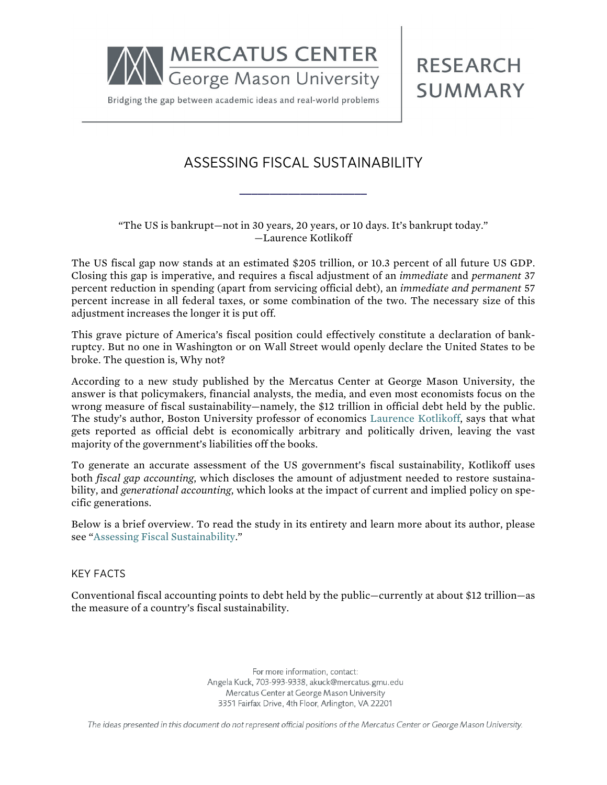

Bridging the gap between academic ideas and real-world problems

## ASSESSING FISCAL SUSTAINABILITY

**RESEARCH** 

**SUMMARY** 

## "The US is bankrupt—not in 30 years, 20 years, or 10 days. It's bankrupt today." —Laurence Kotlikoff

**\_\_\_\_\_\_\_\_\_\_\_\_\_\_\_\_\_\_\_\_\_**

The US fiscal gap now stands at an estimated \$205 trillion, or 10.3 percent of all future US GDP. Closing this gap is imperative, and requires a fiscal adjustment of an *immediate* and *permanent* 37 percent reduction in spending (apart from servicing official debt), an *immediate and permanent* 57 percent increase in all federal taxes, or some combination of the two. The necessary size of this adjustment increases the longer it is put off.

This grave picture of America's fiscal position could effectively constitute a declaration of bankruptcy. But no one in Washington or on Wall Street would openly declare the United States to be broke. The question is, Why not?

According to a new study published by the Mercatus Center at George Mason University, the answer is that policymakers, financial analysts, the media, and even most economists focus on the wrong measure of fiscal sustainability—namely, the \$12 trillion in official debt held by the public. The study's author, Boston University professor of economics [Laurence Kotlikoff,](http://mercatus.org/laurence-kotlikoff) says that what gets reported as official debt is economically arbitrary and politically driven, leaving the vast majority of the government's liabilities off the books.

To generate an accurate assessment of the US government's fiscal sustainability, Kotlikoff uses both *fiscal gap accounting*, which discloses the amount of adjustment needed to restore sustainability, and *generational accounting*, which looks at the impact of current and implied policy on specific generations.

Below is a brief overview. To read the study in its entirety and learn more about its author, please see ["Assessing Fiscal Sustainability.](http://mercatus.org/publication/assessing-fiscal-sustainability)"

## KEY FACTS

Conventional fiscal accounting points to debt held by the public—currently at about \$12 trillion—as the measure of a country's fiscal sustainability.

> For more information, contact: Angela Kuck, 703-993-9338, akuck@mercatus.gmu.edu Mercatus Center at George Mason University 3351 Fairfax Drive, 4th Floor, Arlington, VA 22201

The ideas presented in this document do not represent official positions of the Mercatus Center or George Mason University.